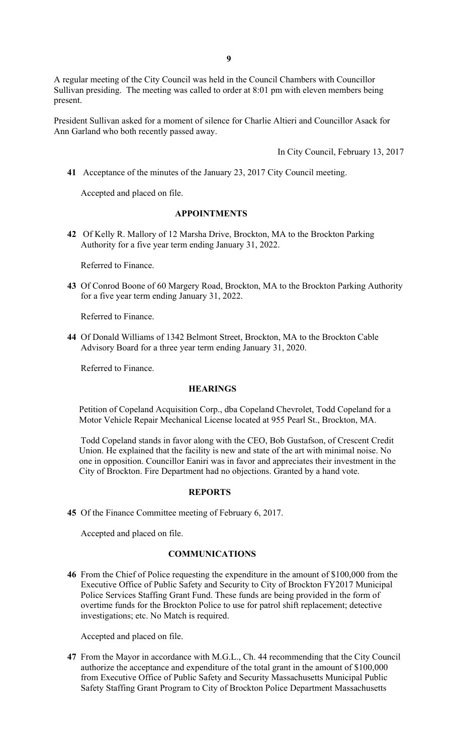A regular meeting of the City Council was held in the Council Chambers with Councillor Sullivan presiding. The meeting was called to order at 8:01 pm with eleven members being present.

President Sullivan asked for a moment of silence for Charlie Altieri and Councillor Asack for Ann Garland who both recently passed away.

In City Council, February 13, 2017

**41** Acceptance of the minutes of the January 23, 2017 City Council meeting.

Accepted and placed on file.

### **APPOINTMENTS**

**42** Of Kelly R. Mallory of 12 Marsha Drive, Brockton, MA to the Brockton Parking Authority for a five year term ending January 31, 2022.

Referred to Finance.

**43** Of Conrod Boone of 60 Margery Road, Brockton, MA to the Brockton Parking Authority for a five year term ending January 31, 2022.

Referred to Finance.

**44** Of Donald Williams of 1342 Belmont Street, Brockton, MA to the Brockton Cable Advisory Board for a three year term ending January 31, 2020.

Referred to Finance.

#### **HEARINGS**

Petition of Copeland Acquisition Corp., dba Copeland Chevrolet, Todd Copeland for a Motor Vehicle Repair Mechanical License located at 955 Pearl St., Brockton, MA.

Todd Copeland stands in favor along with the CEO, Bob Gustafson, of Crescent Credit Union. He explained that the facility is new and state of the art with minimal noise. No one in opposition. Councillor Eaniri was in favor and appreciates their investment in the City of Brockton. Fire Department had no objections. Granted by a hand vote.

#### **REPORTS**

**45** Of the Finance Committee meeting of February 6, 2017.

Accepted and placed on file.

### **COMMUNICATIONS**

**46** From the Chief of Police requesting the expenditure in the amount of \$100,000 from the Executive Office of Public Safety and Security to City of Brockton FY2017 Municipal Police Services Staffing Grant Fund. These funds are being provided in the form of overtime funds for the Brockton Police to use for patrol shift replacement; detective investigations; etc. No Match is required.

Accepted and placed on file.

**47** From the Mayor in accordance with M.G.L., Ch. 44 recommending that the City Council authorize the acceptance and expenditure of the total grant in the amount of \$100,000 from Executive Office of Public Safety and Security Massachusetts Municipal Public Safety Staffing Grant Program to City of Brockton Police Department Massachusetts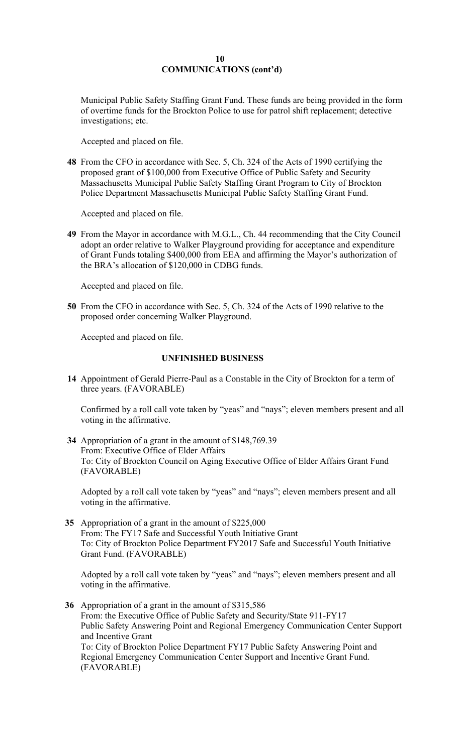### **10 COMMUNICATIONS (cont'd)**

Municipal Public Safety Staffing Grant Fund. These funds are being provided in the form of overtime funds for the Brockton Police to use for patrol shift replacement; detective investigations; etc.

Accepted and placed on file.

**48** From the CFO in accordance with Sec. 5, Ch. 324 of the Acts of 1990 certifying the proposed grant of \$100,000 from Executive Office of Public Safety and Security Massachusetts Municipal Public Safety Staffing Grant Program to City of Brockton Police Department Massachusetts Municipal Public Safety Staffing Grant Fund.

 Accepted and placed on file.

**49** From the Mayor in accordance with M.G.L., Ch. 44 recommending that the City Council adopt an order relative to Walker Playground providing for acceptance and expenditure of Grant Funds totaling \$400,000 from EEA and affirming the Mayor's authorization of the BRA's allocation of \$120,000 in CDBG funds.

 Accepted and placed on file.

**50** From the CFO in accordance with Sec. 5, Ch. 324 of the Acts of 1990 relative to the proposed order concerning Walker Playground.

Accepted and placed on file.

# **UNFINISHED BUSINESS**

**14** Appointment of Gerald Pierre-Paul as a Constable in the City of Brockton for a term of three years. (FAVORABLE)

Confirmed by a roll call vote taken by "yeas" and "nays"; eleven members present and all voting in the affirmative.

**34** Appropriation of a grant in the amount of \$[148,769.39](https://148,769.39)  From: Executive Office of Elder Affairs To: City of Brockton Council on Aging Executive Office of Elder Affairs Grant Fund (FAVORABLE)

Adopted by a roll call vote taken by "yeas" and "nays"; eleven members present and all voting in the affirmative.

**35** Appropriation of a grant in the amount of \$225,000 From: The FY17 Safe and Successful Youth Initiative Grant To: City of Brockton Police Department FY2017 Safe and Successful Youth Initiative Grant Fund. (FAVORABLE)

Adopted by a roll call vote taken by "yeas" and "nays"; eleven members present and all voting in the affirmative.

**36** Appropriation of a grant in the amount of \$315,586 From: the Executive Office of Public Safety and Security/State 911-FY17 Public Safety Answering Point and Regional Emergency Communication Center Support and Incentive Grant To: City of Brockton Police Department FY17 Public Safety Answering Point and Regional Emergency Communication Center Support and Incentive Grant Fund. (FAVORABLE)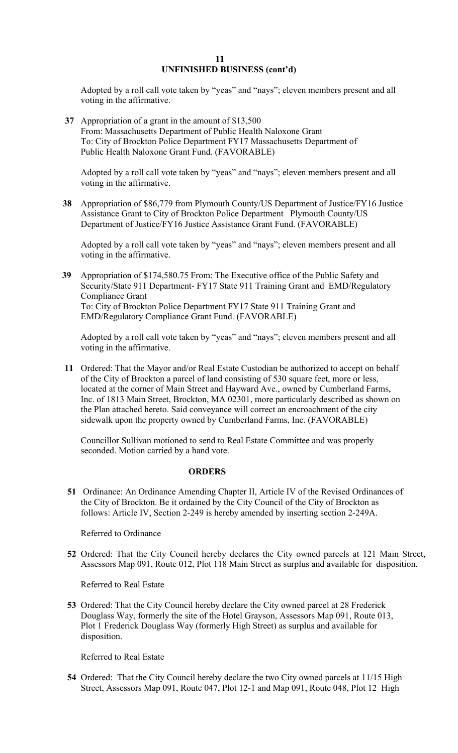### **11 UNFINISHED BUSINESS (cont'd)**

Adopted by a roll call vote taken by "yeas" and "nays"; eleven members present and all voting in the affirmative.

 **37** Appropriation of a grant in the amount of \$13,500 From: Massachusetts Department of Public Health Naloxone Grant To: City of Brockton Police Department FY17 Massachusetts Department of Public Health Naloxone Grant Fund. (FAVORABLE)

Adopted by a roll call vote taken by "yeas" and "nays"; eleven members present and all voting in the affirmative.

 **38** Appropriation of \$86,779 from Plymouth County/US Department of Justice/FY16 Justice Assistance Grant to City of Brockton Police Department Plymouth County/US Department of Justice/FY16 Justice Assistance Grant Fund. (FAVORABLE)

Adopted by a roll call vote taken by "yeas" and "nays"; eleven members present and all voting in the affirmative.

**39** Appropriation of [\\$174,580.75](https://174,580.75) From: The Executive office of the Public Safety and Security/State 911 Department- FY17 State 911 Training Grant and EMD/Regulatory Compliance Grant To: City of Brockton Police Department FY17 State 911 Training Grant and EMD/Regulatory Compliance Grant Fund. (FAVORABLE)

Adopted by a roll call vote taken by "yeas" and "nays"; eleven members present and all voting in the affirmative.

 **11** Ordered: That the Mayor and/or Real Estate Custodian be authorized to accept on behalf of the City of Brockton a parcel of land consisting of 530 square feet, more or less, located at the corner of Main Street and Hayward Ave., owned by Cumberland Farms, Inc. of 1813 Main Street, Brockton, MA 02301, more particularly described as shown on the Plan attached hereto. Said conveyance will correct an encroachment of the city sidewalk upon the property owned by Cumberland Farms, Inc. (FAVORABLE)

Councillor Sullivan motioned to send to Real Estate Committee and was properly seconded. Motion carried by a hand vote.

# **ORDERS**

**51** Ordinance: An Ordinance Amending Chapter II, Article IV of the Revised Ordinances of the City of Brockton. Be it ordained by the City Council of the City of Brockton as follows: Article IV, Section 2-249 is hereby amended by inserting section 2-249A.

Referred to Ordinance

**52** Ordered: That the City Council hereby declares the City owned parcels at 121 Main Street, Assessors Map 091, Route 012, Plot 118 Main Street as surplus and available for disposition.

Referred to Real Estate

**53** Ordered: That the City Council hereby declare the City owned parcel at 28 Frederick Douglass Way, formerly the site of the Hotel Grayson, Assessors Map 091, Route 013, Plot 1 Frederick Douglass Way (formerly High Street) as surplus and available for disposition.

Referred to Real Estate

**54** Ordered: That the City Council hereby declare the two City owned parcels at 11/15 High Street, Assessors Map 091, Route 047, Plot 12-1 and Map 091, Route 048, Plot 12 High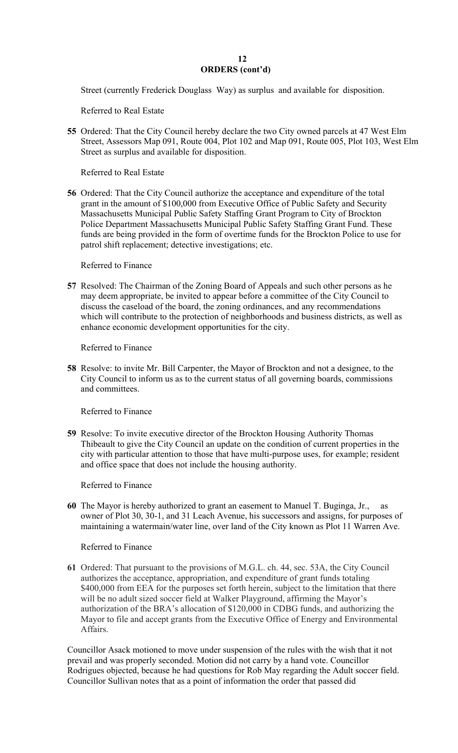# **12 ORDERS (cont'd)**

Street (currently Frederick Douglass Way) as surplus and available for disposition.

Referred to Real Estate

**55** Ordered: That the City Council hereby declare the two City owned parcels at 47 West Elm Street, Assessors Map 091, Route 004, Plot 102 and Map 091, Route 005, Plot 103, West Elm Street as surplus and available for disposition.

Referred to Real Estate

**56** Ordered: That the City Council authorize the acceptance and expenditure of the total grant in the amount of \$100,000 from Executive Office of Public Safety and Security Massachusetts Municipal Public Safety Staffing Grant Program to City of Brockton Police Department Massachusetts Municipal Public Safety Staffing Grant Fund. These funds are being provided in the form of overtime funds for the Brockton Police to use for patrol shift replacement; detective investigations; etc.

# Referred to Finance

**57** Resolved: The Chairman of the Zoning Board of Appeals and such other persons as he may deem appropriate, be invited to appear before a committee of the City Council to discuss the caseload of the board, the zoning ordinances, and any recommendations which will contribute to the protection of neighborhoods and business districts, as well as enhance economic development opportunities for the city.

Referred to Finance

**58** Resolve: to invite Mr. Bill Carpenter, the Mayor of Brockton and not a designee, to the City Council to inform us as to the current status of all governing boards, commissions and committees.

Referred to Finance

**59** Resolve: To invite executive director of the Brockton Housing Authority Thomas Thibeault to give the City Council an update on the condition of current properties in the city with particular attention to those that have multi-purpose uses, for example; resident and office space that does not include the housing authority.

Referred to Finance

**60** The Mayor is hereby authorized to grant an easement to Manuel T. Buginga, Jr., as owner of Plot 30, 30-1, and 31 Leach Avenue, his successors and assigns, for purposes of maintaining a watermain/water line, over land of the City known as Plot 11 Warren Ave.

# Referred to Finance

**61** Ordered: That pursuant to the provisions of M.G.L. ch. 44, sec. 53A, the City Council authorizes the acceptance, appropriation, and expenditure of grant funds totaling \$400,000 from EEA for the purposes set forth herein, subject to the limitation that there will be no adult sized soccer field at Walker Playground, affirming the Mayor's authorization of the BRA's allocation of \$120,000 in CDBG funds, and authorizing the Mayor to file and accept grants from the Executive Office of Energy and Environmental Affairs.

Councillor Asack motioned to move under suspension of the rules with the wish that it not prevail and was properly seconded. Motion did not carry by a hand vote. Councillor Rodrigues objected, because he had questions for Rob May regarding the Adult soccer field. Councillor Sullivan notes that as a point of information the order that passed did